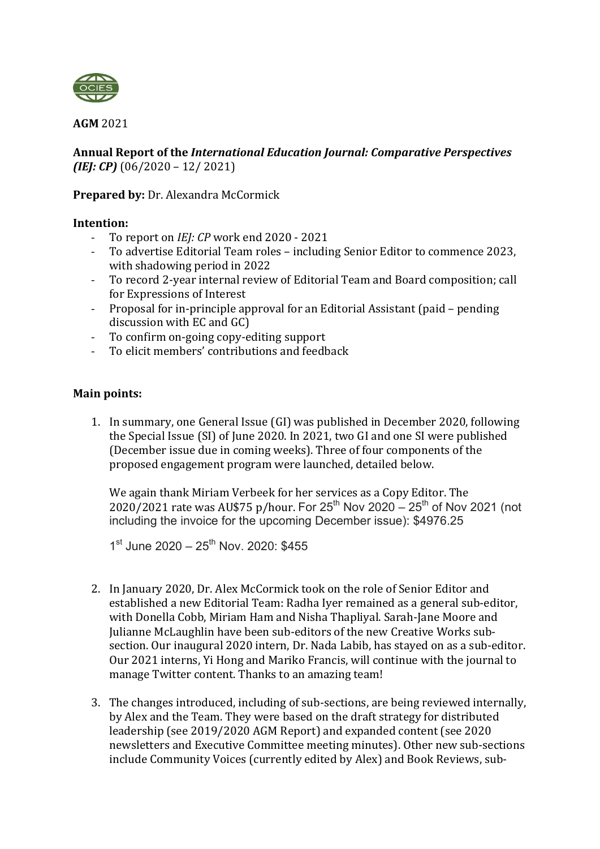

**AGM** 2021 

Annual Report of the *International Education Journal: Comparative Perspectives (IEJ: CP)* (06/2020 – 12/ 2021)

## **Prepared by: Dr. Alexandra McCormick**

### **Intention:**

- To report on *IEI: CP* work end 2020 2021
- To advertise Editorial Team roles including Senior Editor to commence 2023, with shadowing period in 2022
- To record 2-year internal review of Editorial Team and Board composition; call for Expressions of Interest
- Proposal for in-principle approval for an Editorial Assistant (paid pending discussion with EC and GC)
- To confirm on-going copy-editing support
- To elicit members' contributions and feedback

# **Main points:**

1. In summary, one General Issue (GI) was published in December 2020, following the Special Issue (SI) of June 2020. In 2021, two GI and one SI were published (December issue due in coming weeks). Three of four components of the proposed engagement program were launched, detailed below.

We again thank Miriam Verbeek for her services as a Copy Editor. The  $2020/2021$  rate was AU\$75 p/hour. For 25<sup>th</sup> Nov 2020 – 25<sup>th</sup> of Nov 2021 (not including the invoice for the upcoming December issue): \$4976.25

 $1^{\text{st}}$  June 2020 – 25<sup>th</sup> Nov. 2020: \$455

- 2. In January 2020, Dr. Alex McCormick took on the role of Senior Editor and established a new Editorial Team: Radha Iyer remained as a general sub-editor, with Donella Cobb, Miriam Ham and Nisha Thapliyal. Sarah-Jane Moore and Julianne McLaughlin have been sub-editors of the new Creative Works subsection. Our inaugural 2020 intern, Dr. Nada Labib, has stayed on as a sub-editor. Our 2021 interns, Yi Hong and Mariko Francis, will continue with the journal to manage Twitter content. Thanks to an amazing team!
- 3. The changes introduced, including of sub-sections, are being reviewed internally, by Alex and the Team. They were based on the draft strategy for distributed leadership (see 2019/2020 AGM Report) and expanded content (see 2020 newsletters and Executive Committee meeting minutes). Other new sub-sections include Community Voices (currently edited by Alex) and Book Reviews, sub-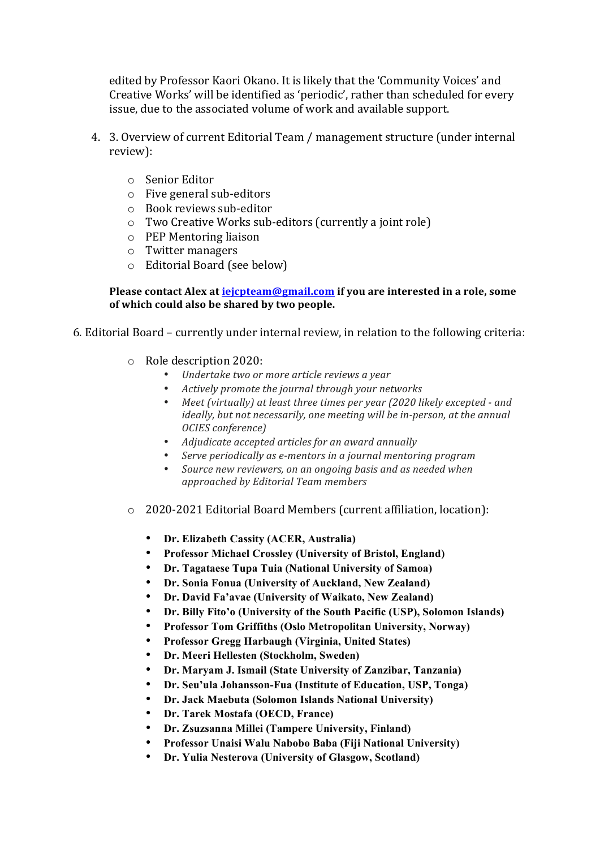edited by Professor Kaori Okano. It is likely that the 'Community Voices' and Creative Works' will be identified as 'periodic', rather than scheduled for every issue, due to the associated volume of work and available support.

- 4. 3. Overview of current Editorial Team / management structure (under internal review):
	- o Senior Editor
	- $\circ$  Five general sub-editors
	- $\circ$  Book reviews sub-editor
	- $\circ$  Two Creative Works sub-editors (currently a joint role)
	- $\circ$  PEP Mentoring liaison
	- $\circ$  Twitter managers
	- $\circ$  Editorial Board (see below)

#### **Please contact Alex at iejcpteam@gmail.com** if you are interested in a role, some **of which could also be shared by two people.**

- 6. Editorial Board currently under internal review, in relation to the following criteria:
	- $\circ$  Role description 2020:
		- *Undertake two or more article reviews a year*
		- *Actively promote the journal through your networks*
		- *Meet (virtually) at least three times per year (2020 likely excepted - and ideally, but not necessarily, one meeting will be in-person, at the annual OCIES conference)*
		- *Adjudicate accepted articles for an award annually*
		- *Serve periodically as e-mentors in a journal mentoring program*
		- *Source new reviewers, on an ongoing basis and as needed when approached by Editorial Team members*
	- o 2020-2021 Editorial Board Members (current affiliation, location):
		- **Dr. Elizabeth Cassity (ACER, Australia)**
		- **Professor Michael Crossley (University of Bristol, England)**
		- **Dr. Tagataese Tupa Tuia (National University of Samoa)**
		- **Dr. Sonia Fonua (University of Auckland, New Zealand)**
		- **Dr. David Fa'avae (University of Waikato, New Zealand)**
		- **Dr. Billy Fito'o (University of the South Pacific (USP), Solomon Islands)**
		- **Professor Tom Griffiths (Oslo Metropolitan University, Norway)**
		- **Professor Gregg Harbaugh (Virginia, United States)**
		- **Dr. Meeri Hellesten (Stockholm, Sweden)**
		- **Dr. Maryam J. Ismail (State University of Zanzibar, Tanzania)**
		- **Dr. Seu'ula Johansson-Fua (Institute of Education, USP, Tonga)**
		- **Dr. Jack Maebuta (Solomon Islands National University)**
		- **Dr. Tarek Mostafa (OECD, France)**
		- **Dr. Zsuzsanna Millei (Tampere University, Finland)**
		- **Professor Unaisi Walu Nabobo Baba (Fiji National University)**
		- **Dr. Yulia Nesterova (University of Glasgow, Scotland)**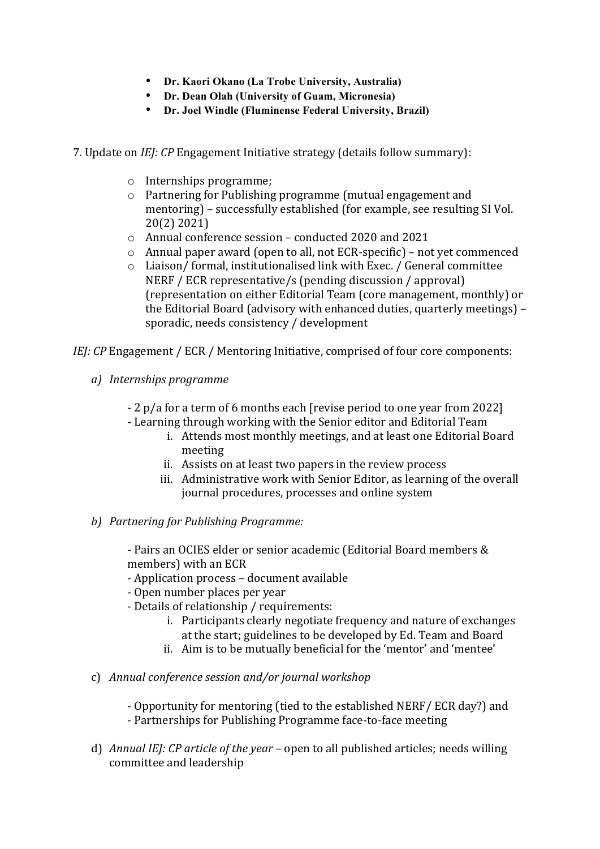- **Dr. Kaori Okano (La Trobe University, Australia)**
- **Dr. Dean Olah (University of Guam, Micronesia)**
- **Dr. Joel Windle (Fluminense Federal University, Brazil)**
- 7. Update on *IEJ: CP* Engagement Initiative strategy (details follow summary):
	- o Internships programme;
	- $\circ$  Partnering for Publishing programme (mutual engagement and mentoring) – successfully established (for example, see resulting SI Vol. 20(2) 2021)
	- $\circ$  Annual conference session conducted 2020 and 2021
	- $\circ$  Annual paper award (open to all, not ECR-specific) not yet commenced
	- $\circ$  Liaison/ formal, institutionalised link with Exec. / General committee NERF / ECR representative/s (pending discussion / approval) (representation on either Editorial Team (core management, monthly) or the Editorial Board (advisory with enhanced duties, quarterly meetings) sporadic, needs consistency / development

*IEJ:* CP Engagement / ECR / Mentoring Initiative, comprised of four core components:

- *a) Internships programme*
	- 2 p/a for a term of 6 months each [revise period to one year from 2022]
	- Learning through working with the Senior editor and Editorial Team
		- i. Attends most monthly meetings, and at least one Editorial Board meeting
		- ii. Assists on at least two papers in the review process
		- iii. Administrative work with Senior Editor, as learning of the overall journal procedures, processes and online system
- *b*) *Partnering for Publishing Programme:*

- Pairs an OCIES elder or senior academic (Editorial Board members & members) with an ECR

- Application process document available
- Open number places per year
- Details of relationship / requirements:
	- i. Participants clearly negotiate frequency and nature of exchanges at the start; guidelines to be developed by Ed. Team and Board
	- ii. Aim is to be mutually beneficial for the 'mentor' and 'mentee'
- c) *Annual conference session and/or journal workshop*
	- Opportunity for mentoring (tied to the established NERF/ ECR day?) and
	- Partnerships for Publishing Programme face-to-face meeting
- d) *Annual IEJ: CP article of the year* open to all published articles; needs willing committee and leadership